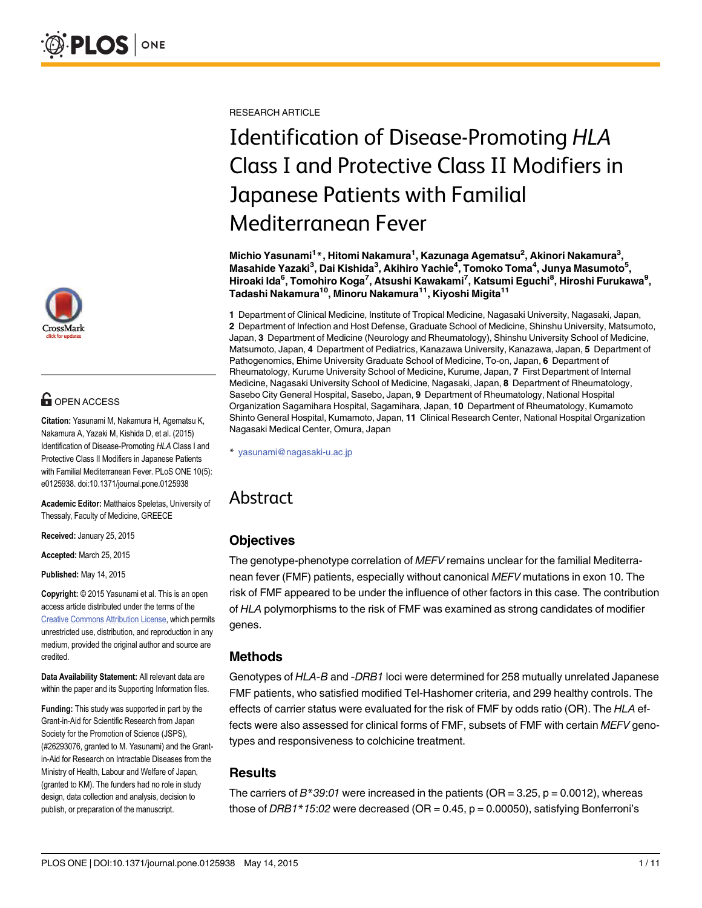

# **G** OPEN ACCESS

Citation: Yasunami M, Nakamura H, Agematsu K, Nakamura A, Yazaki M, Kishida D, et al. (2015) Identification of Disease-Promoting HLA Class I and Protective Class II Modifiers in Japanese Patients with Familial Mediterranean Fever. PLoS ONE 10(5): e0125938. doi:10.1371/journal.pone.0125938

Academic Editor: Matthaios Speletas, University of Thessaly, Faculty of Medicine, GREECE

Received: January 25, 2015

Accepted: March 25, 2015

Published: May 14, 2015

Copyright: © 2015 Yasunami et al. This is an open access article distributed under the terms of the [Creative Commons Attribution License,](http://creativecommons.org/licenses/by/4.0/) which permits unrestricted use, distribution, and reproduction in any medium, provided the original author and source are credited.

Data Availability Statement: All relevant data are within the paper and its Supporting Information files.

Funding: This study was supported in part by the Grant-in-Aid for Scientific Research from Japan Society for the Promotion of Science (JSPS), (#26293076, granted to M. Yasunami) and the Grantin-Aid for Research on Intractable Diseases from the Ministry of Health, Labour and Welfare of Japan, (granted to KM). The funders had no role in study design, data collection and analysis, decision to publish, or preparation of the manuscript.

RESEARCH ARTICLE

# Identification of Disease-Promoting HLA Class I and Protective Class II Modifiers in Japanese Patients with Familial Mediterranean Fever

Michio Yasunami<sup>1</sup>\*, Hitomi Nakamura<sup>1</sup>, Kazunaga Agematsu<sup>2</sup>, Akinori Nakamura<sup>3</sup>, Masahide Yazaki $^3$ , Dai Kishida $^3$ , Akihiro Yachie $^4$ , Tomoko Toma $^4$ , Junya Masumoto $^5\!$ Hiroaki Ida<sup>6</sup>, Tomohiro Koga<sup>7</sup>, Atsushi Kawakami<sup>7</sup>, Katsumi Eguchi<sup>8</sup>, Hiroshi Furukawa<sup>9</sup>, Tadashi Nakamura<sup>10</sup>, Minoru Nakamura<sup>11</sup>, Kiyoshi Migita<sup>11</sup>

1 Department of Clinical Medicine, Institute of Tropical Medicine, Nagasaki University, Nagasaki, Japan, 2 Department of Infection and Host Defense, Graduate School of Medicine, Shinshu University, Matsumoto, Japan, 3 Department of Medicine (Neurology and Rheumatology), Shinshu University School of Medicine, Matsumoto, Japan, 4 Department of Pediatrics, Kanazawa University, Kanazawa, Japan, 5 Department of Pathogenomics, Ehime University Graduate School of Medicine, To-on, Japan, 6 Department of Rheumatology, Kurume University School of Medicine, Kurume, Japan, 7 First Department of Internal Medicine, Nagasaki University School of Medicine, Nagasaki, Japan, 8 Department of Rheumatology, Sasebo City General Hospital, Sasebo, Japan, 9 Department of Rheumatology, National Hospital Organization Sagamihara Hospital, Sagamihara, Japan, 10 Department of Rheumatology, Kumamoto Shinto General Hospital, Kumamoto, Japan, 11 Clinical Research Center, National Hospital Organization Nagasaki Medical Center, Omura, Japan

\* yasunami@nagasaki-u.ac.jp

## Abstract

## **Objectives**

The genotype-phenotype correlation of MEFV remains unclear for the familial Mediterranean fever (FMF) patients, especially without canonical MEFV mutations in exon 10. The risk of FMF appeared to be under the influence of other factors in this case. The contribution of HLA polymorphisms to the risk of FMF was examined as strong candidates of modifier genes.

## Methods

Genotypes of HLA-B and -DRB1 loci were determined for 258 mutually unrelated Japanese FMF patients, who satisfied modified Tel-Hashomer criteria, and 299 healthy controls. The effects of carrier status were evaluated for the risk of FMF by odds ratio (OR). The HLA effects were also assessed for clinical forms of FMF, subsets of FMF with certain MEFV genotypes and responsiveness to colchicine treatment.

## Results

The carriers of  $B^*39:01$  were increased in the patients (OR = 3.25, p = 0.0012), whereas those of DRB1\*15:02 were decreased (OR =  $0.45$ , p =  $0.00050$ ), satisfying Bonferroni's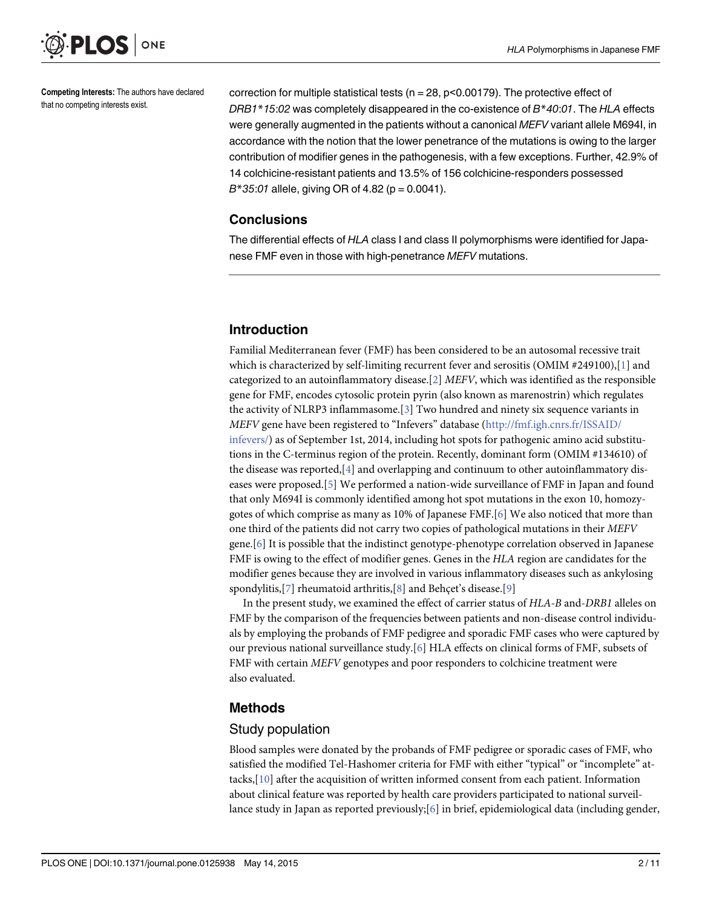<span id="page-1-0"></span>

Competing Interests: The authors have declared that no competing interests exist.

correction for multiple statistical tests ( $n = 28$ ,  $p < 0.00179$ ). The protective effect of DRB1\*15:02 was completely disappeared in the co-existence of  $B*40:01$ . The HLA effects were generally augmented in the patients without a canonical MEFV variant allele M694I, in accordance with the notion that the lower penetrance of the mutations is owing to the larger contribution of modifier genes in the pathogenesis, with a few exceptions. Further, 42.9% of 14 colchicine-resistant patients and 13.5% of 156 colchicine-responders possessed  $B*35:01$  allele, giving OR of 4.82 (p = 0.0041).

#### **Conclusions**

The differential effects of HLA class I and class II polymorphisms were identified for Japanese FMF even in those with high-penetrance MEFV mutations.

## Introduction

Familial Mediterranean fever (FMF) has been considered to be an autosomal recessive trait which is characterized by self-limiting recurrent fever and serositis (OMIM #249100),[[1](#page-8-0)] and categorized to an autoinflammatory disease.[[2](#page-8-0)]  $MEFV$ , which was identified as the responsible gene for FMF, encodes cytosolic protein pyrin (also known as marenostrin) which regulates the activity of NLRP3 inflammasome.[[3](#page-8-0)] Two hundred and ninety six sequence variants in MEFV gene have been registered to "Infevers" database ([http://fmf.igh.cnrs.fr/ISSAID/](http://fmf.igh.cnrs.fr/ISSAID/infevers/) [infevers/](http://fmf.igh.cnrs.fr/ISSAID/infevers/)) as of September 1st, 2014, including hot spots for pathogenic amino acid substitutions in the C-terminus region of the protein. Recently, dominant form (OMIM #134610) of the disease was reported,[\[4](#page-8-0)] and overlapping and continuum to other autoinflammatory diseases were proposed.[[5\]](#page-8-0) We performed a nation-wide surveillance of FMF in Japan and found that only M694I is commonly identified among hot spot mutations in the exon 10, homozygotes of which comprise as many as 10% of Japanese FMF.[\[6](#page-8-0)] We also noticed that more than one third of the patients did not carry two copies of pathological mutations in their MEFV gene.[[6\]](#page-8-0) It is possible that the indistinct genotype-phenotype correlation observed in Japanese FMF is owing to the effect of modifier genes. Genes in the HLA region are candidates for the modifier genes because they are involved in various inflammatory diseases such as ankylosing spondylitis,[\[7\]](#page-8-0) rheumatoid arthritis,[[8\]](#page-8-0) and Behçet's disease.[[9\]](#page-9-0)

In the present study, we examined the effect of carrier status of HLA-B and-DRB1 alleles on FMF by the comparison of the frequencies between patients and non-disease control individuals by employing the probands of FMF pedigree and sporadic FMF cases who were captured by our previous national surveillance study.[[6\]](#page-8-0) HLA effects on clinical forms of FMF, subsets of FMF with certain MEFV genotypes and poor responders to colchicine treatment were also evaluated.

## Methods

#### Study population

Blood samples were donated by the probands of FMF pedigree or sporadic cases of FMF, who satisfied the modified Tel-Hashomer criteria for FMF with either "typical" or "incomplete" attacks,[[10](#page-9-0)] after the acquisition of written informed consent from each patient. Information about clinical feature was reported by health care providers participated to national surveillance study in Japan as reported previously;  $[6]$  in brief, epidemiological data (including gender,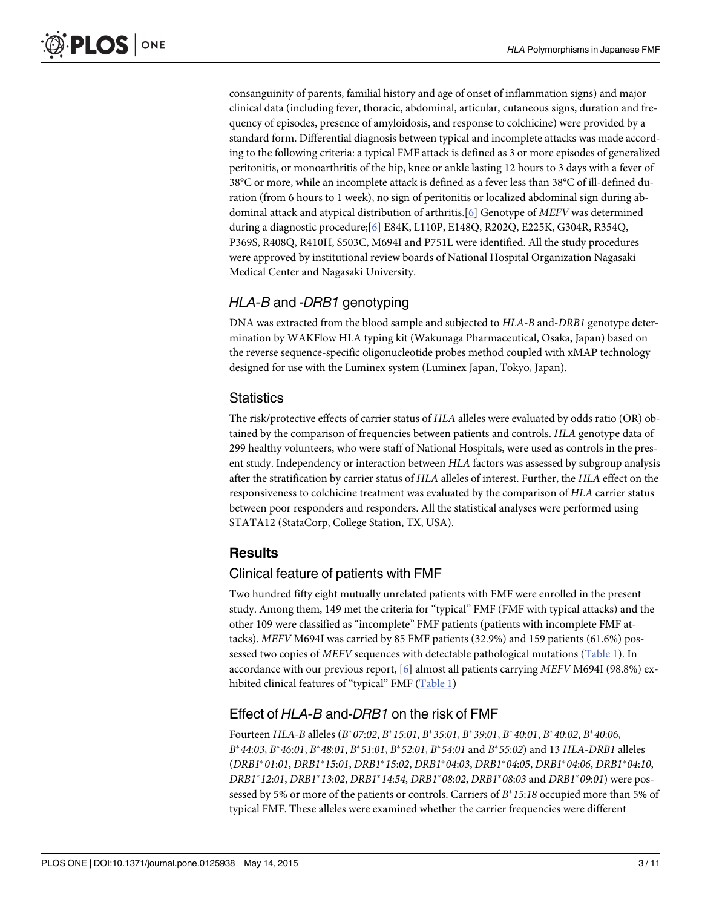<span id="page-2-0"></span>consanguinity of parents, familial history and age of onset of inflammation signs) and major clinical data (including fever, thoracic, abdominal, articular, cutaneous signs, duration and frequency of episodes, presence of amyloidosis, and response to colchicine) were provided by a standard form. Differential diagnosis between typical and incomplete attacks was made according to the following criteria: a typical FMF attack is defined as 3 or more episodes of generalized peritonitis, or monoarthritis of the hip, knee or ankle lasting 12 hours to 3 days with a fever of 38°C or more, while an incomplete attack is defined as a fever less than 38°C of ill-defined duration (from 6 hours to 1 week), no sign of peritonitis or localized abdominal sign during abdominal attack and atypical distribution of arthritis.[[6\]](#page-8-0) Genotype of MEFV was determined during a diagnostic procedure;[\[6](#page-8-0)] E84K, L110P, E148Q, R202Q, E225K, G304R, R354Q, P369S, R408Q, R410H, S503C, M694I and P751L were identified. All the study procedures were approved by institutional review boards of National Hospital Organization Nagasaki Medical Center and Nagasaki University.

## HLA-B and -DRB1 genotyping

DNA was extracted from the blood sample and subjected to HLA-B and-DRB1 genotype determination by WAKFlow HLA typing kit (Wakunaga Pharmaceutical, Osaka, Japan) based on the reverse sequence-specific oligonucleotide probes method coupled with xMAP technology designed for use with the Luminex system (Luminex Japan, Tokyo, Japan).

## **Statistics**

The risk/protective effects of carrier status of HLA alleles were evaluated by odds ratio (OR) obtained by the comparison of frequencies between patients and controls. HLA genotype data of 299 healthy volunteers, who were staff of National Hospitals, were used as controls in the present study. Independency or interaction between HLA factors was assessed by subgroup analysis after the stratification by carrier status of HLA alleles of interest. Further, the HLA effect on the responsiveness to colchicine treatment was evaluated by the comparison of HLA carrier status between poor responders and responders. All the statistical analyses were performed using STATA12 (StataCorp, College Station, TX, USA).

## Results

## Clinical feature of patients with FMF

Two hundred fifty eight mutually unrelated patients with FMF were enrolled in the present study. Among them, 149 met the criteria for "typical" FMF (FMF with typical attacks) and the other 109 were classified as "incomplete" FMF patients (patients with incomplete FMF attacks). MEFV M694I was carried by 85 FMF patients (32.9%) and 159 patients (61.6%) pos-sessed two copies of MEFV sequences with detectable pathological mutations [\(Table 1](#page-3-0)). In accordance with our previous report, [[6\]](#page-8-0) almost all patients carrying MEFV M694I (98.8%) ex-hibited clinical features of "typical" FMF ([Table 1\)](#page-3-0)

## Effect of HLA-B and-DRB1 on the risk of FMF

Fourteen HLA-B alleles ( $B^*07:02$ ,  $B^*15:01$ ,  $B^*35:01$ ,  $B^*39:01$ ,  $B^*40:01$ ,  $B^*40:02$ ,  $B^*40:06$ ,  $B^*44:03$ ,  $B^*46:01$ ,  $B^*48:01$ ,  $B^*51:01$ ,  $B^*52:01$ ,  $B^*54:01$  and  $B^*55:02$ ) and 13 HLA-DRB1 alleles (DRB1\*01:01, DRB1\*15:01, DRB1\*15:02, DRB1\*04:03, DRB1\*04:05, DRB1\*04:06, DRB1\*04:10,  $DRB1*12:01, DRB1*13:02, DRB1*14:54, DRB1*08:02, DRB1*08:03$  and  $DRB1*09:01$ ) were possessed by 5% or more of the patients or controls. Carriers of  $B^*15:18$  occupied more than 5% of typical FMF. These alleles were examined whether the carrier frequencies were different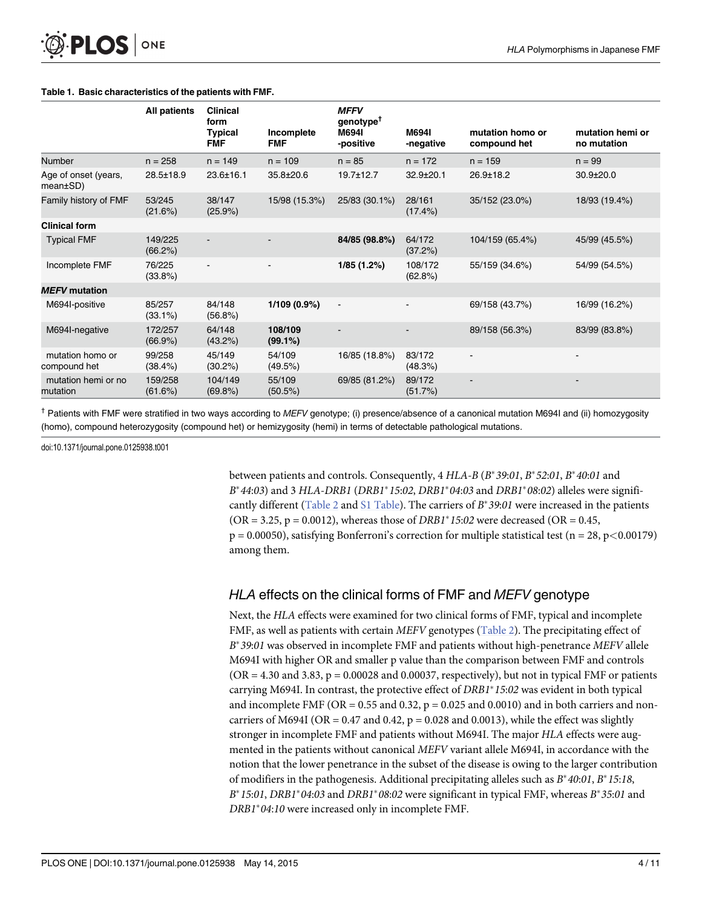#### <span id="page-3-0"></span>[Table 1.](#page-2-0) Basic characteristics of the patients with FMF.

|                                  | <b>All patients</b>  | <b>Clinical</b><br>form<br><b>Typical</b> | Incomplete            | <b>MFFV</b><br>genotype <sup>†</sup><br>M694I | M694I                 | mutation homo or | mutation hemi or |
|----------------------------------|----------------------|-------------------------------------------|-----------------------|-----------------------------------------------|-----------------------|------------------|------------------|
|                                  |                      | <b>FMF</b>                                | <b>FMF</b>            | -positive                                     | -negative             | compound het     | no mutation      |
| Number                           | $n = 258$            | $n = 149$                                 | $n = 109$             | $n = 85$                                      | $n = 172$             | $n = 159$        | $n = 99$         |
| Age of onset (years,<br>mean±SD) | $28.5 \pm 18.9$      | $23.6 \pm 16.1$                           | 35.8±20.6             | $19.7 \pm 12.7$                               | $32.9 \pm 20.1$       | $26.9 \pm 18.2$  | $30.9 \pm 20.0$  |
| Family history of FMF            | 53/245<br>(21.6%)    | 38/147<br>$(25.9\%)$                      | 15/98 (15.3%)         | 25/83 (30.1%)                                 | 28/161<br>$(17.4\%)$  | 35/152 (23.0%)   | 18/93 (19.4%)    |
| <b>Clinical form</b>             |                      |                                           |                       |                                               |                       |                  |                  |
| <b>Typical FMF</b>               | 149/225<br>(66.2%)   |                                           |                       | 84/85 (98.8%)                                 | 64/172<br>(37.2%)     | 104/159 (65.4%)  | 45/99 (45.5%)    |
| Incomplete FMF                   | 76/225<br>$(33.8\%)$ | $\blacksquare$                            |                       | 1/85(1.2%)                                    | 108/172<br>$(62.8\%)$ | 55/159 (34.6%)   | 54/99 (54.5%)    |
| <b>MEFV</b> mutation             |                      |                                           |                       |                                               |                       |                  |                  |
| M694I-positive                   | 85/257<br>$(33.1\%)$ | 84/148<br>$(56.8\%)$                      | 1/109 (0.9%)          | $\blacksquare$                                |                       | 69/158 (43.7%)   | 16/99 (16.2%)    |
| M694I-negative                   | 172/257<br>(66.9%)   | 64/148<br>(43.2%)                         | 108/109<br>$(99.1\%)$ |                                               |                       | 89/158 (56.3%)   | 83/99 (83.8%)    |
| mutation homo or<br>compound het | 99/258<br>(38.4%)    | 45/149<br>$(30.2\%)$                      | 54/109<br>(49.5%)     | 16/85 (18.8%)                                 | 83/172<br>(48.3%)     |                  |                  |
| mutation hemi or no<br>mutation  | 159/258<br>(61.6%)   | 104/149<br>$(69.8\%)$                     | 55/109<br>$(50.5\%)$  | 69/85 (81.2%)                                 | 89/172<br>(51.7%)     |                  |                  |

<sup>†</sup> Patients with FMF were stratified in two ways according to MEFV genotype; (i) presence/absence of a canonical mutation M694I and (ii) homozygosity (homo), compound heterozygosity (compound het) or hemizygosity (hemi) in terms of detectable pathological mutations.

doi:10.1371/journal.pone.0125938.t001

between patients and controls. Consequently,  $4 HLA-B (B*39:01, B*52:01, B*40:01$  and  $B^*44:03$ ) and 3 HLA-DRB1 (DRB1\*15:02, DRB1\*04:03 and DRB1\*08:02) alleles were signifi-cantly different [\(Table 2](#page-4-0) and [S1 Table\)](#page-8-0). The carriers of  $B^*39:01$  were increased in the patients  $(OR = 3.25, p = 0.0012)$ , whereas those of *DRB1*<sup>\*</sup> 15:02 were decreased (OR = 0.45,  $p = 0.00050$ , satisfying Bonferroni's correction for multiple statistical test (n = 28, p < 0.00179) among them.

## HLA effects on the clinical forms of FMF and MEFV genotype

Next, the HLA effects were examined for two clinical forms of FMF, typical and incomplete FMF, as well as patients with certain MEFV genotypes [\(Table 2\)](#page-4-0). The precipitating effect of  $B^*$ 39:01 was observed in incomplete FMF and patients without high-penetrance MEFV allele M694I with higher OR and smaller p value than the comparison between FMF and controls  $(OR = 4.30 \text{ and } 3.83, p = 0.00028 \text{ and } 0.00037,$  respectively), but not in typical FMF or patients carrying M694I. In contrast, the protective effect of  $DRB1*15:02$  was evident in both typical and incomplete FMF (OR = 0.55 and 0.32,  $p = 0.025$  and 0.0010) and in both carriers and noncarriers of M694I (OR =  $0.47$  and  $0.42$ , p =  $0.028$  and  $0.0013$ ), while the effect was slightly stronger in incomplete FMF and patients without M694I. The major HLA effects were augmented in the patients without canonical MEFV variant allele M694I, in accordance with the notion that the lower penetrance in the subset of the disease is owing to the larger contribution of modifiers in the pathogenesis. Additional precipitating alleles such as  $B^*40:01$ ,  $B^*15:18$ ,  $B^*15:01$ , DRB1\*04:03 and DRB1\*08:02 were significant in typical FMF, whereas  $B^*35:01$  and  $DRB1*04:10$  were increased only in incomplete FMF.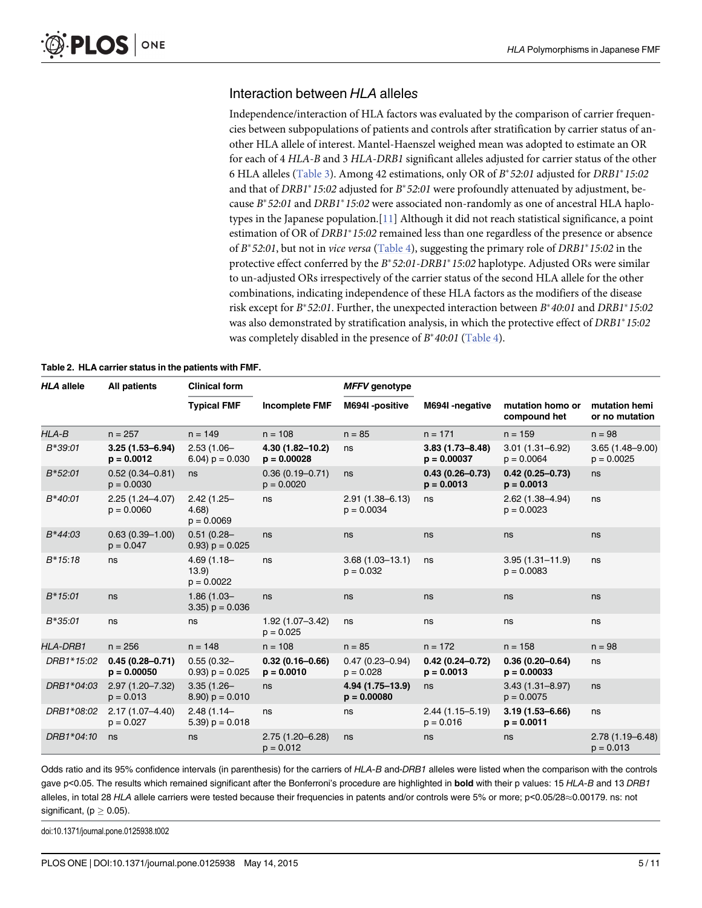#### <span id="page-4-0"></span>Interaction between HLA alleles

Independence/interaction of HLA factors was evaluated by the comparison of carrier frequencies between subpopulations of patients and controls after stratification by carrier status of another HLA allele of interest. Mantel-Haenszel weighed mean was adopted to estimate an OR for each of 4 HLA-B and 3 HLA-DRB1 significant alleles adjusted for carrier status of the other 6 HLA alleles ([Table 3\)](#page-5-0). Among 42 estimations, only OR of  $B^*52:01$  adjusted for DRB1\*15:02 and that of DRB1\*15:02 adjusted for  $B*52:01$  were profoundly attenuated by adjustment, because  $B^*52:01$  and  $DRB1^*15:02$  were associated non-randomly as one of ancestral HLA haplotypes in the Japanese population.[[11](#page-9-0)] Although it did not reach statistical significance, a point estimation of OR of  $DRB1*15:02$  remained less than one regardless of the presence or absence of  $B^*52:01$ , but not in *vice versa* [\(Table 4\)](#page-6-0), suggesting the primary role of *DRB1*<sup>\*</sup>15:02 in the protective effect conferred by the  $B*52:01-DRB1*15:02$  haplotype. Adjusted ORs were similar to un-adjusted ORs irrespectively of the carrier status of the second HLA allele for the other combinations, indicating independence of these HLA factors as the modifiers of the disease risk except for  $B^*52:01$ . Further, the unexpected interaction between  $B^*40:01$  and  $DRB1^*15:02$ was also demonstrated by stratification analysis, in which the protective effect of  $DRB1*15:02$ was completely disabled in the presence of  $B^*40:01$  ([Table 4](#page-6-0)).

| <b>HLA allele</b> | <b>All patients</b>                  | <b>Clinical form</b>                  |                                      | <b>MFFV</b> genotype                |                                      |                                      |                                     |
|-------------------|--------------------------------------|---------------------------------------|--------------------------------------|-------------------------------------|--------------------------------------|--------------------------------------|-------------------------------------|
|                   |                                      | <b>Typical FMF</b>                    | <b>Incomplete FMF</b>                | M694I-positive                      | M694I-negative                       | mutation homo or<br>compound het     | mutation hemi<br>or no mutation     |
| HLA-B             | $n = 257$                            | $n = 149$                             | $n = 108$                            | $n = 85$                            | $n = 171$                            | $n = 159$                            | $n = 98$                            |
| $B*39:01$         | $3.25(1.53 - 6.94)$<br>$p = 0.0012$  | $2.53(1.06 -$<br>6.04) $p = 0.030$    | $4.30(1.82 - 10.2)$<br>$p = 0.00028$ | ns                                  | $3.83(1.73 - 8.48)$<br>$p = 0.00037$ | $3.01(1.31 - 6.92)$<br>$p = 0.0064$  | $3.65(1.48 - 9.00)$<br>$p = 0.0025$ |
| $B*52:01$         | $0.52(0.34 - 0.81)$<br>$p = 0.0030$  | ns                                    | $0.36(0.19 - 0.71)$<br>$p = 0.0020$  | ns                                  | $0.43(0.26 - 0.73)$<br>$p = 0.0013$  | $0.42(0.25 - 0.73)$<br>$p = 0.0013$  | ns                                  |
| $B*40:01$         | $2.25(1.24 - 4.07)$<br>$p = 0.0060$  | $2.42(1.25 -$<br>4.68<br>$p = 0.0069$ | ns                                   | $2.91(1.38 - 6.13)$<br>$p = 0.0034$ | ns                                   | $2.62(1.38 - 4.94)$<br>$p = 0.0023$  | ns                                  |
| $B*44:03$         | $0.63(0.39 - 1.00)$<br>$p = 0.047$   | $0.51(0.28 -$<br>$(0.93)$ p = 0.025   | ns                                   | ns                                  | ns                                   | ns                                   | ns                                  |
| $B*15:18$         | ns                                   | $4.69(1.18 -$<br>13.9<br>$p = 0.0022$ | ns                                   | $3.68(1.03 - 13.1)$<br>$p = 0.032$  | ns                                   | $3.95(1.31 - 11.9)$<br>$p = 0.0083$  | ns                                  |
| $B*15:01$         | ns                                   | $1.86(1.03 -$<br>$(3.35) p = 0.036$   | ns                                   | ns                                  | ns                                   | ns                                   | ns                                  |
| $B*35:01$         | ns                                   | ns                                    | $1.92(1.07 - 3.42)$<br>$p = 0.025$   | ns                                  | ns                                   | ns                                   | ns                                  |
| <b>HLA-DRB1</b>   | $n = 256$                            | $n = 148$                             | $n = 108$                            | $n = 85$                            | $n = 172$                            | $n = 158$                            | $n = 98$                            |
| DRB1*15:02        | $0.45(0.28 - 0.71)$<br>$p = 0.00050$ | $0.55(0.32 -$<br>$(0.93)$ p = 0.025   | $0.32(0.16 - 0.66)$<br>$p = 0.0010$  | $0.47(0.23 - 0.94)$<br>$p = 0.028$  | $0.42(0.24 - 0.72)$<br>$p = 0.0013$  | $0.36(0.20 - 0.64)$<br>$p = 0.00033$ | ns                                  |
| DRB1*04:03        | $2.97(1.20 - 7.32)$<br>$p = 0.013$   | $3.35(1.26 -$<br>$(8.90) p = 0.010$   | ns                                   | 4.94 (1.75-13.9)<br>$p = 0.00080$   | ns                                   | $3.43(1.31 - 8.97)$<br>$p = 0.0075$  | ns                                  |
| DRB1*08:02        | $2.17(1.07 - 4.40)$<br>$p = 0.027$   | $2.48(1.14 -$<br>5.39) $p = 0.018$    | ns                                   | ns                                  | $2.44(1.15 - 5.19)$<br>$p = 0.016$   | $3.19(1.53 - 6.66)$<br>$p = 0.0011$  | ns                                  |
| DRB1*04:10        | ns                                   | ns                                    | $2.75(1.20 - 6.28)$<br>$p = 0.012$   | ns                                  | ns                                   | ns                                   | $2.78(1.19 - 6.48)$<br>$p = 0.013$  |

#### [Table 2.](#page-3-0) HLA carrier status in the patients with FMF.

Odds ratio and its 95% confidence intervals (in parenthesis) for the carriers of HLA-B and-DRB1 alleles were listed when the comparison with the controls gave p<0.05. The results which remained significant after the Bonferroni's procedure are highlighted in **bold** with their p values: 15 HLA-B and 13 DRB1 alleles, in total 28 HLA allele carriers were tested because their frequencies in patents and/or controls were 5% or more; p<0.05/28 $\approx$ 0.00179. ns: not significant, ( $p \geq 0.05$ ).

doi:10.1371/journal.pone.0125938.t002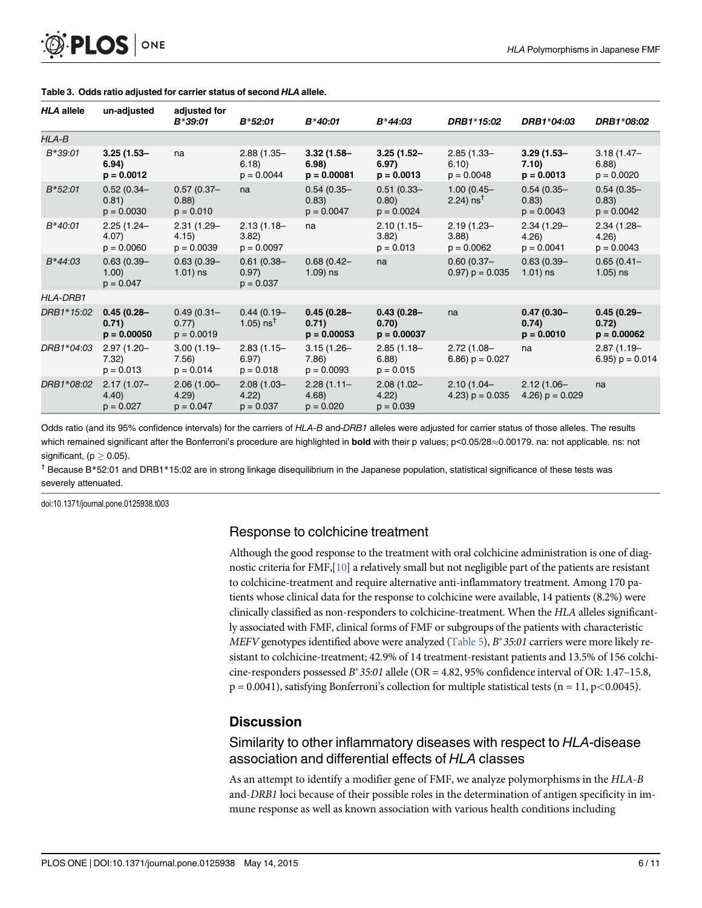<span id="page-5-0"></span>

| <b>HLA allele</b> | un-adjusted                             | adjusted for<br>B*39:01                | $B*52:01$                                    | B*40:01                                 | $B*44:03$                               | DRB1*15:02                            | DRB1*04:03                             | DRB1*08:02                              |
|-------------------|-----------------------------------------|----------------------------------------|----------------------------------------------|-----------------------------------------|-----------------------------------------|---------------------------------------|----------------------------------------|-----------------------------------------|
| HLA-B             |                                         |                                        |                                              |                                         |                                         |                                       |                                        |                                         |
| B*39:01           | $3.25(1.53 -$<br>6.94)<br>$p = 0.0012$  | na                                     | $2.88(1.35 -$<br>6.18)<br>$p = 0.0044$       | $3.32(1.58 -$<br>6.98)<br>$p = 0.00081$ | $3.25(1.52 -$<br>6.97)<br>$p = 0.0013$  | $2.85(1.33 -$<br>6.10<br>$p = 0.0048$ | $3.29(1.53 -$<br>7.10)<br>$p = 0.0013$ | $3.18(1.47 -$<br>6.88)<br>$p = 0.0020$  |
| $B*52:01$         | $0.52(0.34 -$<br>0.81)<br>$p = 0.0030$  | $0.57(0.37 -$<br>(0.88)<br>$p = 0.010$ | na                                           | $0.54(0.35 -$<br>0.83)<br>$p = 0.0047$  | $0.51(0.33 -$<br>0.80)<br>$p = 0.0024$  | $1.00(0.45 -$<br>2.24) $ns†$          | $0.54(0.35 -$<br>0.83)<br>$p = 0.0043$ | $0.54(0.35 -$<br>0.83)<br>$p = 0.0042$  |
| $B*40:01$         | $2.25(1.24 -$<br>4.07)<br>$p = 0.0060$  | $2.31(1.29 -$<br>4.15)<br>$p = 0.0039$ | $2.13(1.18 -$<br>3.82<br>$p = 0.0097$        | na                                      | $2.10(1.15 -$<br>3.82)<br>$p = 0.013$   | $2.19(1.23 -$<br>3.88<br>$p = 0.0062$ | $2.34(1.29 -$<br>4.26)<br>$p = 0.0041$ | $2.34(1.28 -$<br>4.26)<br>$p = 0.0043$  |
| $B*44:03$         | $0.63(0.39 -$<br>1.00)<br>$p = 0.047$   | $0.63(0.39 -$<br>$1.01$ ) ns           | $0.61(0.38 -$<br>0.97)<br>$p = 0.037$        | $0.68(0.42 -$<br>$1.09$ ) ns            | na                                      | $0.60(0.37 -$<br>$0.97$ ) $p = 0.035$ | $0.63(0.39 -$<br>$1.01$ ) ns           | $0.65(0.41 -$<br>$1.05$ ) ns            |
| <b>HLA-DRB1</b>   |                                         |                                        |                                              |                                         |                                         |                                       |                                        |                                         |
| DRB1*15:02        | $0.45(0.28 -$<br>0.71)<br>$p = 0.00050$ | $0.49(0.31 -$<br>0.77)<br>$p = 0.0019$ | $0.44(0.19 -$<br>1.05) $\text{ns}^{\dagger}$ | $0.45(0.28 -$<br>0.71)<br>$p = 0.00053$ | $0.43(0.28 -$<br>0.70)<br>$p = 0.00037$ | na                                    | $0.47(0.30 -$<br>0.74)<br>$p = 0.0010$ | $0.45(0.29 -$<br>0.72)<br>$p = 0.00062$ |
| DRB1*04:03        | $2.97(1.20 -$<br>7.32)<br>$p = 0.013$   | $3.00(1.19 -$<br>7.56)<br>$p = 0.014$  | $2.83(1.15 -$<br>6.97)<br>$p = 0.018$        | $3.15(1.26 -$<br>7.86)<br>$p = 0.0093$  | $2.85(1.18 -$<br>6.88)<br>$p = 0.015$   | $2.72(1.08 -$<br>6.86) $p = 0.027$    | na                                     | $2.87(1.19 -$<br>6.95) $p = 0.014$      |
| DRB1*08:02        | $2.17(1.07 -$<br>4.40<br>$p = 0.027$    | $2.06(1.00 -$<br>4.29<br>$p = 0.047$   | $2.08(1.03 -$<br>4.22<br>$p = 0.037$         | 2.28(1.11)<br>4.68<br>$p = 0.020$       | $2.08(1.02 -$<br>4.22<br>$p = 0.039$    | $2.10(1.04 -$<br>4.23) $p = 0.035$    | $2.12(1.06 -$<br>4.26) $p = 0.029$     | na                                      |

#### [Table 3.](#page-4-0) Odds ratio adjusted for carrier status of second HLA allele.

Odds ratio (and its 95% confidence intervals) for the carriers of HLA-B and-DRB1 alleles were adjusted for carrier status of those alleles. The results which remained significant after the Bonferroni's procedure are highlighted in bold with their p values; p<0.05/28~0.00179. na: not applicable. ns: not significant,  $(p > 0.05)$ .

† Because B\*52:01 and DRB1\*15:02 are in strong linkage disequilibrium in the Japanese population, statistical significance of these tests was severely attenuated.

doi:10.1371/journal.pone.0125938.t003

#### Response to colchicine treatment

Although the good response to the treatment with oral colchicine administration is one of diagnostic criteria for FMF,[\[10](#page-9-0)] a relatively small but not negligible part of the patients are resistant to colchicine-treatment and require alternative anti-inflammatory treatment. Among 170 patients whose clinical data for the response to colchicine were available, 14 patients (8.2%) were clinically classified as non-responders to colchicine-treatment. When the HLA alleles significantly associated with FMF, clinical forms of FMF or subgroups of the patients with characteristic MEFV genotypes identified above were analyzed [\(Table 5\)](#page-6-0),  $B^*35:01$  carriers were more likely resistant to colchicine-treatment; 42.9% of 14 treatment-resistant patients and 13.5% of 156 colchicine-responders possessed  $B^*35:01$  allele (OR = 4.82, 95% confidence interval of OR: 1.47–15.8,  $p = 0.0041$ ), satisfying Bonferroni's collection for multiple statistical tests (n = 11, p < 0.0045).

#### **Discussion**

#### Similarity to other inflammatory diseases with respect to HLA-disease association and differential effects of HLA classes

As an attempt to identify a modifier gene of FMF, we analyze polymorphisms in the HLA-B and-DRB1 loci because of their possible roles in the determination of antigen specificity in immune response as well as known association with various health conditions including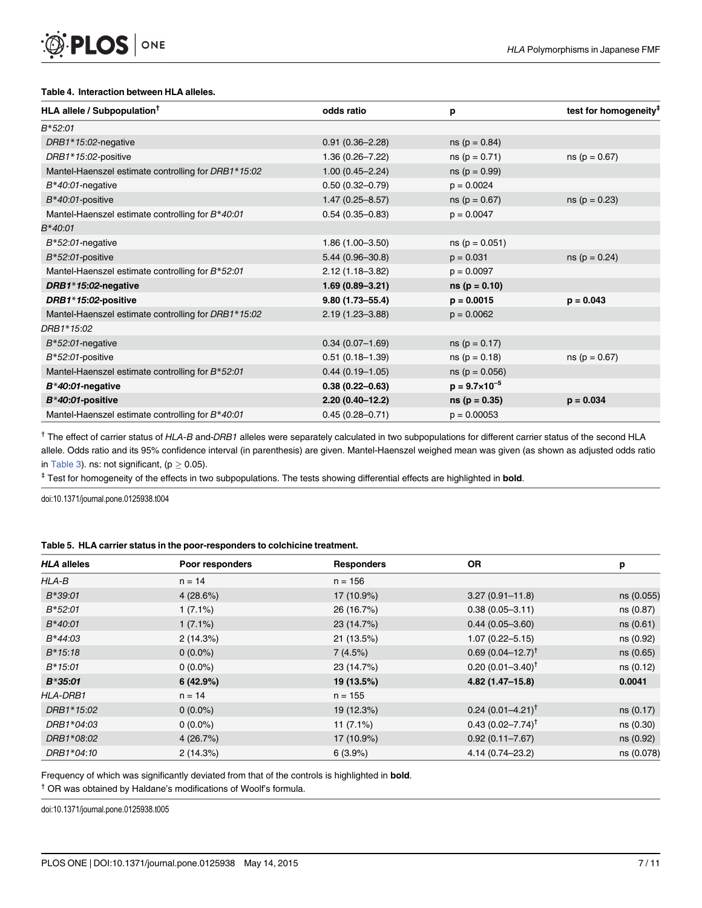#### [Table 4.](#page-4-0) Interaction between HLA alleles.

<span id="page-6-0"></span>PLOS ONE

| HLA allele / Subpopulation <sup>T</sup>             | odds ratio          | р                        | test for homogeneity <sup>#</sup> |
|-----------------------------------------------------|---------------------|--------------------------|-----------------------------------|
| B*52:01                                             |                     |                          |                                   |
| DRB1*15:02-negative                                 | $0.91(0.36 - 2.28)$ | $ns (p = 0.84)$          |                                   |
| DRB1*15:02-positive                                 | $1.36(0.26 - 7.22)$ | $ns (p = 0.71)$          | $ns (p = 0.67)$                   |
| Mantel-Haenszel estimate controlling for DRB1*15:02 | $1.00(0.45 - 2.24)$ | $ns (p = 0.99)$          |                                   |
| $B*40:01$ -negative                                 | $0.50(0.32 - 0.79)$ | $p = 0.0024$             |                                   |
| $B*40:01$ -positive                                 | $1.47(0.25 - 8.57)$ | $ns (p = 0.67)$          | $ns (p = 0.23)$                   |
| Mantel-Haenszel estimate controlling for B*40:01    | $0.54(0.35 - 0.83)$ | $p = 0.0047$             |                                   |
| B*40:01                                             |                     |                          |                                   |
| $B*52:01$ -negative                                 | $1.86(1.00 - 3.50)$ | $ns (p = 0.051)$         |                                   |
| $B*52:01$ -positive                                 | $5.44(0.96 - 30.8)$ | $p = 0.031$              | $ns (p = 0.24)$                   |
| Mantel-Haenszel estimate controlling for B*52:01    | $2.12(1.18 - 3.82)$ | $p = 0.0097$             |                                   |
| DRB1*15:02-negative                                 | $1.69(0.89 - 3.21)$ | $ns (p = 0.10)$          |                                   |
| DRB1*15:02-positive                                 | $9.80(1.73 - 55.4)$ | $p = 0.0015$             | $p = 0.043$                       |
| Mantel-Haenszel estimate controlling for DRB1*15:02 | $2.19(1.23 - 3.88)$ | $p = 0.0062$             |                                   |
| DRB1*15:02                                          |                     |                          |                                   |
| $B*52:01$ -negative                                 | $0.34(0.07 - 1.69)$ | $ns (p = 0.17)$          |                                   |
| $B*52:01$ -positive                                 | $0.51(0.18 - 1.39)$ | $ns (p = 0.18)$          | $ns (p = 0.67)$                   |
| Mantel-Haenszel estimate controlling for B*52:01    | $0.44(0.19-1.05)$   | $ns (p = 0.056)$         |                                   |
| $B*40:01$ -negative                                 | $0.38(0.22 - 0.63)$ | $p = 9.7 \times 10^{-5}$ |                                   |
| $B*40:01$ -positive                                 | $2.20(0.40-12.2)$   | $ns (p = 0.35)$          | $p = 0.034$                       |
| Mantel-Haenszel estimate controlling for B*40:01    | $0.45(0.28 - 0.71)$ | $p = 0.00053$            |                                   |

<sup>†</sup> The effect of carrier status of HLA-B and-DRB1 alleles were separately calculated in two subpopulations for different carrier status of the second HLA allele. Odds ratio and its 95% confidence interval (in parenthesis) are given. Mantel-Haenszel weighed mean was given (as shown as adjusted odds ratio in [Table 3\)](#page-5-0). ns: not significant, ( $p \ge 0.05$ ).

<sup>‡</sup> Test for homogeneity of the effects in two subpopulations. The tests showing differential effects are highlighted in **bold**.

doi:10.1371/journal.pone.0125938.t004

#### [Table 5.](#page-5-0) HLA carrier status in the poor-responders to colchicine treatment.

| <b>HLA alleles</b> | Poor responders | <b>Responders</b> | <b>OR</b>                       | р          |
|--------------------|-----------------|-------------------|---------------------------------|------------|
| $HLA-B$            | $n = 14$        | $n = 156$         |                                 |            |
| $B*39:01$          | 4(28.6%)        | 17 (10.9%)        | $3.27(0.91 - 11.8)$             | ns (0.055) |
| $B*52:01$          | $1(7.1\%)$      | 26 (16.7%)        | $0.38(0.05 - 3.11)$             | ns (0.87)  |
| $B*40:01$          | $1(7.1\%)$      | 23 (14.7%)        | $0.44(0.05 - 3.60)$             | ns (0.61)  |
| $B*44:03$          | 2(14.3%)        | 21 (13.5%)        | $1.07(0.22 - 5.15)$             | ns (0.92)  |
| $B*15:18$          | $0(0.0\%)$      | 7(4.5%)           | $0.69(0.04 - 12.7)^{\dagger}$   | ns (0.65)  |
| $B*15:01$          | $0(0.0\%)$      | 23 (14.7%)        | $0.20(0.01 - 3.40)^{\dagger}$   | ns (0.12)  |
| $B*35:01$          | 6(42.9%)        | 19 (13.5%)        | 4.82 (1.47-15.8)                | 0.0041     |
| <b>HLA-DRB1</b>    | $n = 14$        | $n = 155$         |                                 |            |
| DRB1*15:02         | $0(0.0\%)$      | 19 (12.3%)        | $0.24$ (0.01–4.21) <sup>†</sup> | ns (0.17)  |
| DRB1*04:03         | $0(0.0\%)$      | $11(7.1\%)$       | $0.43(0.02 - 7.74)^{\dagger}$   | ns (0.30)  |
| DRB1*08:02         | 4(26.7%)        | 17 (10.9%)        | $0.92(0.11 - 7.67)$             | ns (0.92)  |
| DRB1*04:10         | 2(14.3%)        | 6(3.9%)           | 4.14 (0.74-23.2)                | ns (0.078) |

Frequency of which was significantly deviated from that of the controls is highlighted in **bold**.

† OR was obtained by Haldane's modifications of Woolf's formula.

doi:10.1371/journal.pone.0125938.t005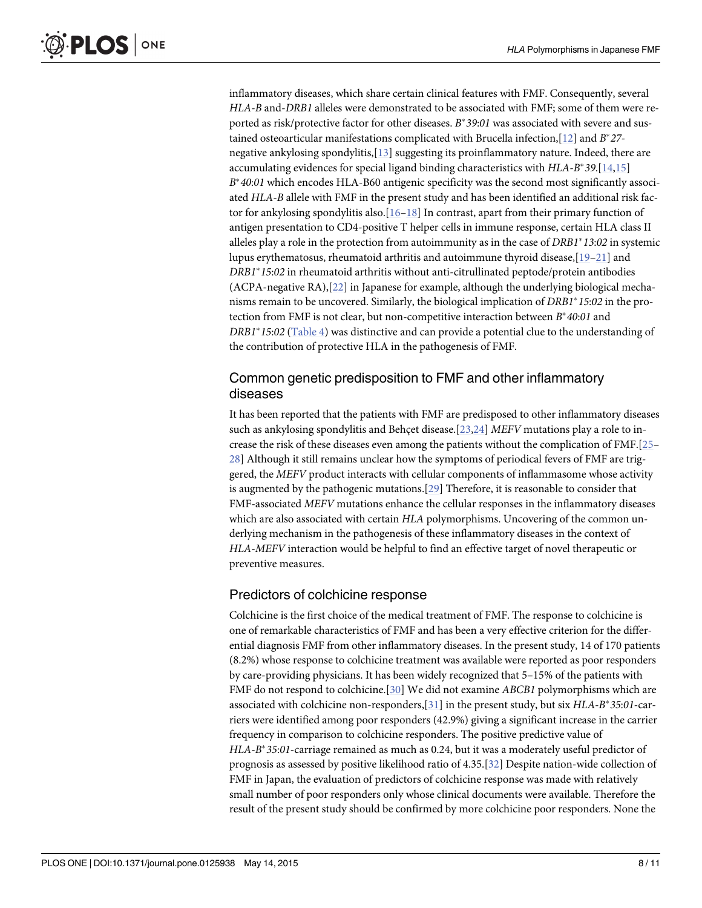<span id="page-7-0"></span>inflammatory diseases, which share certain clinical features with FMF. Consequently, several HLA-B and-DRB1 alleles were demonstrated to be associated with FMF; some of them were reported as risk/protective factor for other diseases.  $B^*39:01$  was associated with severe and sus-tained osteoarticular manifestations complicated with Brucella infection, [[12](#page-9-0)] and  $B^*27$ negative ankylosing spondylitis,[\[13](#page-9-0)] suggesting its proinflammatory nature. Indeed, there are accumulating evidences for special ligand binding characteristics with  $HLA-B^*39.$ [\[14,15\]](#page-9-0)  $B^*40:01$  which encodes HLA-B60 antigenic specificity was the second most significantly associated HLA-B allele with FMF in the present study and has been identified an additional risk factor for ankylosing spondylitis also.  $[16-18]$  $[16-18]$  $[16-18]$  $[16-18]$  $[16-18]$  In contrast, apart from their primary function of antigen presentation to CD4-positive T helper cells in immune response, certain HLA class II alleles play a role in the protection from autoimmunity as in the case of  $DRB1*13:02$  in systemic lupus erythematosus, rheumatoid arthritis and autoimmune thyroid disease,[\[19](#page-9-0)–[21](#page-9-0)] and  $DRB1*15:02$  in rheumatoid arthritis without anti-citrullinated peptode/protein antibodies (ACPA-negative RA),[\[22\]](#page-9-0) in Japanese for example, although the underlying biological mechanisms remain to be uncovered. Similarly, the biological implication of  $DRB1*15:02$  in the protection from FMF is not clear, but non-competitive interaction between  $B^*40:01$  and  $DRB1*15:02$  ([Table 4](#page-6-0)) was distinctive and can provide a potential clue to the understanding of the contribution of protective HLA in the pathogenesis of FMF.

## Common genetic predisposition to FMF and other inflammatory diseases

It has been reported that the patients with FMF are predisposed to other inflammatory diseases such as ankylosing spondylitis and Behçet disease.[\[23,24\]](#page-9-0) MEFV mutations play a role to increase the risk of these diseases even among the patients without the complication of FMF.[\[25](#page-9-0)– [28\]](#page-9-0) Although it still remains unclear how the symptoms of periodical fevers of FMF are triggered, the MEFV product interacts with cellular components of inflammasome whose activity is augmented by the pathogenic mutations.[[29](#page-10-0)] Therefore, it is reasonable to consider that FMF-associated MEFV mutations enhance the cellular responses in the inflammatory diseases which are also associated with certain HLA polymorphisms. Uncovering of the common underlying mechanism in the pathogenesis of these inflammatory diseases in the context of HLA-MEFV interaction would be helpful to find an effective target of novel therapeutic or preventive measures.

#### Predictors of colchicine response

Colchicine is the first choice of the medical treatment of FMF. The response to colchicine is one of remarkable characteristics of FMF and has been a very effective criterion for the differential diagnosis FMF from other inflammatory diseases. In the present study, 14 of 170 patients (8.2%) whose response to colchicine treatment was available were reported as poor responders by care-providing physicians. It has been widely recognized that 5–15% of the patients with FMF do not respond to colchicine.[\[30\]](#page-10-0) We did not examine ABCB1 polymorphisms which are associated with colchicine non-responders, [[31](#page-10-0)] in the present study, but six  $HLA-B^*35:01$ -carriers were identified among poor responders (42.9%) giving a significant increase in the carrier frequency in comparison to colchicine responders. The positive predictive value of  $HLA-B*35:01$ -carriage remained as much as 0.24, but it was a moderately useful predictor of prognosis as assessed by positive likelihood ratio of 4.35.[[32\]](#page-10-0) Despite nation-wide collection of FMF in Japan, the evaluation of predictors of colchicine response was made with relatively small number of poor responders only whose clinical documents were available. Therefore the result of the present study should be confirmed by more colchicine poor responders. None the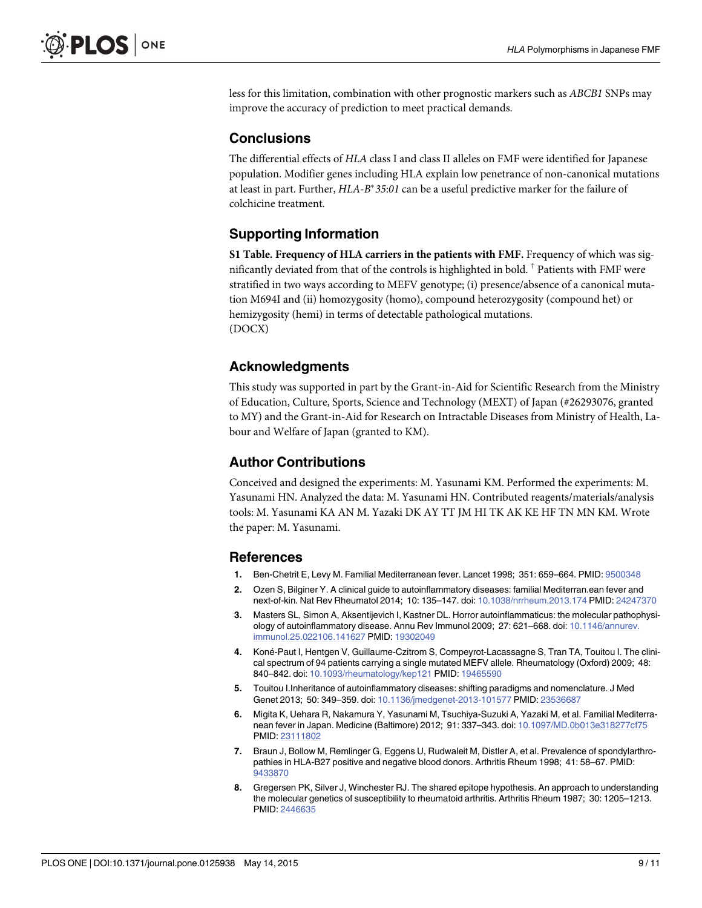<span id="page-8-0"></span>less for this limitation, combination with other prognostic markers such as ABCB1 SNPs may improve the accuracy of prediction to meet practical demands.

#### **Conclusions**

The differential effects of HLA class I and class II alleles on FMF were identified for Japanese population. Modifier genes including HLA explain low penetrance of non-canonical mutations at least in part. Further,  $HLA-B*35:01$  can be a useful predictive marker for the failure of colchicine treatment.

#### Supporting Information

[S1 Table](http://www.plosone.org/article/fetchSingleRepresentation.action?uri=info:doi/10.1371/journal.pone.0125938.s001). Frequency of HLA carriers in the patients with FMF. Frequency of which was significantly deviated from that of the controls is highlighted in bold. † Patients with FMF were stratified in two ways according to MEFV genotype; (i) presence/absence of a canonical mutation M694I and (ii) homozygosity (homo), compound heterozygosity (compound het) or hemizygosity (hemi) in terms of detectable pathological mutations. (DOCX)

#### Acknowledgments

This study was supported in part by the Grant-in-Aid for Scientific Research from the Ministry of Education, Culture, Sports, Science and Technology (MEXT) of Japan (#26293076, granted to MY) and the Grant-in-Aid for Research on Intractable Diseases from Ministry of Health, Labour and Welfare of Japan (granted to KM).

#### Author Contributions

Conceived and designed the experiments: M. Yasunami KM. Performed the experiments: M. Yasunami HN. Analyzed the data: M. Yasunami HN. Contributed reagents/materials/analysis tools: M. Yasunami KA AN M. Yazaki DK AY TT JM HI TK AK KE HF TN MN KM. Wrote the paper: M. Yasunami.

#### References

- [1.](#page-1-0) Ben-Chetrit E, Levy M. Familial Mediterranean fever. Lancet 1998; 351: 659–664. PMID: [9500348](http://www.ncbi.nlm.nih.gov/pubmed/9500348)
- [2.](#page-1-0) Ozen S, Bilginer Y. A clinical guide to autoinflammatory diseases: familial Mediterran.ean fever and next-of-kin. Nat Rev Rheumatol 2014; 10: 135–147. doi: [10.1038/nrrheum.2013.174](http://dx.doi.org/10.1038/nrrheum.2013.174) PMID: [24247370](http://www.ncbi.nlm.nih.gov/pubmed/24247370)
- [3.](#page-1-0) Masters SL, Simon A, Aksentijevich I, Kastner DL. Horror autoinflammaticus: the molecular pathophysiology of autoinflammatory disease. Annu Rev Immunol 2009; 27: 621–668. doi: [10.1146/annurev.](http://dx.doi.org/10.1146/annurev.immunol.25.022106.141627) [immunol.25.022106.141627](http://dx.doi.org/10.1146/annurev.immunol.25.022106.141627) PMID: [19302049](http://www.ncbi.nlm.nih.gov/pubmed/19302049)
- [4.](#page-1-0) Koné-Paut I, Hentgen V, Guillaume-Czitrom S, Compeyrot-Lacassagne S, Tran TA, Touitou I. The clinical spectrum of 94 patients carrying a single mutated MEFV allele. Rheumatology (Oxford) 2009; 48: 840–842. doi: [10.1093/rheumatology/kep121](http://dx.doi.org/10.1093/rheumatology/kep121) PMID: [19465590](http://www.ncbi.nlm.nih.gov/pubmed/19465590)
- [5.](#page-1-0) Touitou I.Inheritance of autoinflammatory diseases: shifting paradigms and nomenclature. J Med Genet 2013; 50: 349–359. doi: [10.1136/jmedgenet-2013-101577](http://dx.doi.org/10.1136/jmedgenet-2013-101577) PMID: [23536687](http://www.ncbi.nlm.nih.gov/pubmed/23536687)
- [6.](#page-1-0) Migita K, Uehara R, Nakamura Y, Yasunami M, Tsuchiya-Suzuki A, Yazaki M, et al. Familial Mediterranean fever in Japan. Medicine (Baltimore) 2012; 91: 337–343. doi: [10.1097/MD.0b013e318277cf75](http://dx.doi.org/10.1097/MD.0b013e318277cf75) PMID: [23111802](http://www.ncbi.nlm.nih.gov/pubmed/23111802)
- [7.](#page-1-0) Braun J, Bollow M, Remlinger G, Eggens U, Rudwaleit M, Distler A, et al. Prevalence of spondylarthropathies in HLA-B27 positive and negative blood donors. Arthritis Rheum 1998; 41: 58–67. PMID: [9433870](http://www.ncbi.nlm.nih.gov/pubmed/9433870)
- [8.](#page-1-0) Gregersen PK, Silver J, Winchester RJ. The shared epitope hypothesis. An approach to understanding the molecular genetics of susceptibility to rheumatoid arthritis. Arthritis Rheum 1987; 30: 1205–1213. PMID: [2446635](http://www.ncbi.nlm.nih.gov/pubmed/2446635)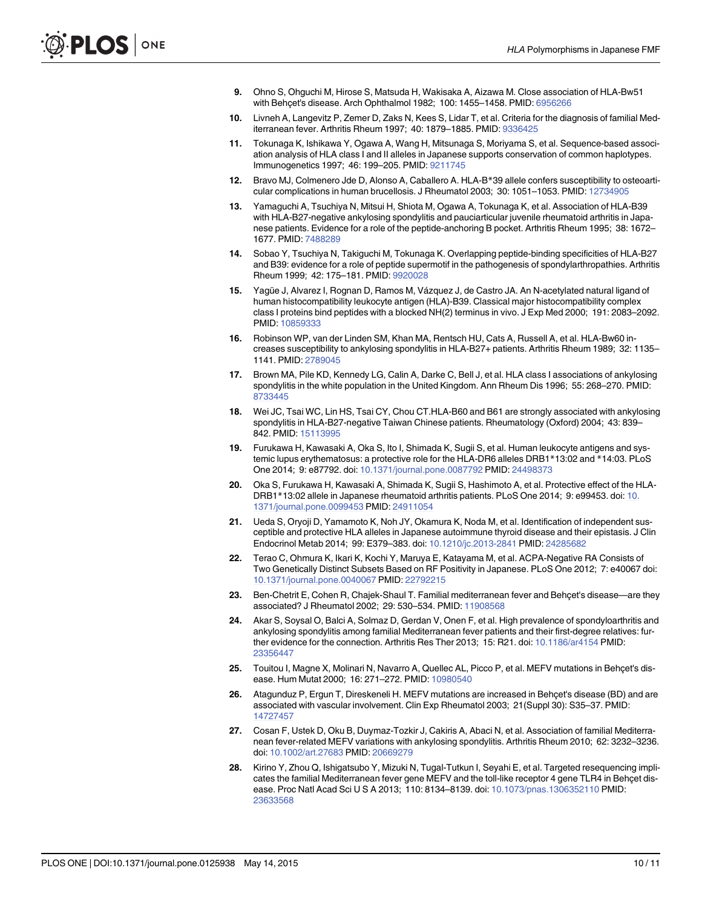- <span id="page-9-0"></span>[9.](#page-1-0) Ohno S, Ohguchi M, Hirose S, Matsuda H, Wakisaka A, Aizawa M. Close association of HLA-Bw51 with Behçet's disease. Arch Ophthalmol 1982; 100: 1455–1458. PMID: [6956266](http://www.ncbi.nlm.nih.gov/pubmed/6956266)
- [10.](#page-1-0) Livneh A, Langevitz P, Zemer D, Zaks N, Kees S, Lidar T, et al. Criteria for the diagnosis of familial Mediterranean fever. Arthritis Rheum 1997; 40: 1879–1885. PMID: [9336425](http://www.ncbi.nlm.nih.gov/pubmed/9336425)
- [11.](#page-4-0) Tokunaga K, Ishikawa Y, Ogawa A, Wang H, Mitsunaga S, Moriyama S, et al. Sequence-based association analysis of HLA class I and II alleles in Japanese supports conservation of common haplotypes. Immunogenetics 1997; 46: 199–205. PMID: [9211745](http://www.ncbi.nlm.nih.gov/pubmed/9211745)
- [12.](#page-7-0) Bravo MJ, Colmenero Jde D, Alonso A, Caballero A. HLA-B\*39 allele confers susceptibility to osteoarticular complications in human brucellosis. J Rheumatol 2003; 30: 1051–1053. PMID: [12734905](http://www.ncbi.nlm.nih.gov/pubmed/12734905)
- [13.](#page-7-0) Yamaguchi A, Tsuchiya N, Mitsui H, Shiota M, Ogawa A, Tokunaga K, et al. Association of HLA-B39 with HLA-B27-negative ankylosing spondylitis and pauciarticular juvenile rheumatoid arthritis in Japanese patients. Evidence for a role of the peptide-anchoring B pocket. Arthritis Rheum 1995; 38: 1672– 1677. PMID: [7488289](http://www.ncbi.nlm.nih.gov/pubmed/7488289)
- [14.](#page-7-0) Sobao Y, Tsuchiya N, Takiguchi M, Tokunaga K. Overlapping peptide-binding specificities of HLA-B27 and B39: evidence for a role of peptide supermotif in the pathogenesis of spondylarthropathies. Arthritis Rheum 1999; 42: 175–181. PMID: [9920028](http://www.ncbi.nlm.nih.gov/pubmed/9920028)
- [15.](#page-7-0) Yagüe J, Alvarez I, Rognan D, Ramos M, Vázquez J, de Castro JA. An N-acetylated natural ligand of human histocompatibility leukocyte antigen (HLA)-B39. Classical major histocompatibility complex class I proteins bind peptides with a blocked NH(2) terminus in vivo. J Exp Med 2000; 191: 2083–2092. PMID: [10859333](http://www.ncbi.nlm.nih.gov/pubmed/10859333)
- [16.](#page-7-0) Robinson WP, van der Linden SM, Khan MA, Rentsch HU, Cats A, Russell A, et al. HLA-Bw60 increases susceptibility to ankylosing spondylitis in HLA-B27+ patients. Arthritis Rheum 1989; 32: 1135– 1141. PMID: [2789045](http://www.ncbi.nlm.nih.gov/pubmed/2789045)
- 17. Brown MA, Pile KD, Kennedy LG, Calin A, Darke C, Bell J, et al. HLA class I associations of ankylosing spondylitis in the white population in the United Kingdom. Ann Rheum Dis 1996; 55: 268–270. PMID: [8733445](http://www.ncbi.nlm.nih.gov/pubmed/8733445)
- [18.](#page-7-0) Wei JC, Tsai WC, Lin HS, Tsai CY, Chou CT.HLA-B60 and B61 are strongly associated with ankylosing spondylitis in HLA-B27-negative Taiwan Chinese patients. Rheumatology (Oxford) 2004; 43: 839– 842. PMID: [15113995](http://www.ncbi.nlm.nih.gov/pubmed/15113995)
- [19.](#page-7-0) Furukawa H, Kawasaki A, Oka S, Ito I, Shimada K, Sugii S, et al. Human leukocyte antigens and systemic lupus erythematosus: a protective role for the HLA-DR6 alleles DRB1\*13:02 and \*14:03. PLoS One 2014; 9: e87792. doi: [10.1371/journal.pone.0087792](http://dx.doi.org/10.1371/journal.pone.0087792) PMID: [24498373](http://www.ncbi.nlm.nih.gov/pubmed/24498373)
- 20. Oka S, Furukawa H, Kawasaki A, Shimada K, Sugii S, Hashimoto A, et al. Protective effect of the HLA-DRB1\*13:02 allele in Japanese rheumatoid arthritis patients. PLoS One 2014; 9: e99453. doi: [10.](http://dx.doi.org/10.1371/journal.pone.0099453) [1371/journal.pone.0099453](http://dx.doi.org/10.1371/journal.pone.0099453) PMID: [24911054](http://www.ncbi.nlm.nih.gov/pubmed/24911054)
- [21.](#page-7-0) Ueda S, Oryoji D, Yamamoto K, Noh JY, Okamura K, Noda M, et al. Identification of independent susceptible and protective HLA alleles in Japanese autoimmune thyroid disease and their epistasis. J Clin Endocrinol Metab 2014; 99: E379–383. doi: [10.1210/jc.2013-2841](http://dx.doi.org/10.1210/jc.2013-2841) PMID: [24285682](http://www.ncbi.nlm.nih.gov/pubmed/24285682)
- [22.](#page-7-0) Terao C, Ohmura K, Ikari K, Kochi Y, Maruya E, Katayama M, et al. ACPA-Negative RA Consists of Two Genetically Distinct Subsets Based on RF Positivity in Japanese. PLoS One 2012; 7: e40067 doi: [10.1371/journal.pone.0040067](http://dx.doi.org/10.1371/journal.pone.0040067) PMID: [22792215](http://www.ncbi.nlm.nih.gov/pubmed/22792215)
- [23.](#page-7-0) Ben-Chetrit E, Cohen R, Chajek-Shaul T. Familial mediterranean fever and Behçet's disease—are they associated? J Rheumatol 2002; 29: 530–534. PMID: [11908568](http://www.ncbi.nlm.nih.gov/pubmed/11908568)
- [24.](#page-7-0) Akar S, Soysal O, Balci A, Solmaz D, Gerdan V, Onen F, et al. High prevalence of spondyloarthritis and ankylosing spondylitis among familial Mediterranean fever patients and their first-degree relatives: further evidence for the connection. Arthritis Res Ther 2013; 15: R21. doi: [10.1186/ar4154](http://dx.doi.org/10.1186/ar4154) PMID: [23356447](http://www.ncbi.nlm.nih.gov/pubmed/23356447)
- [25.](#page-7-0) Touitou I, Magne X, Molinari N, Navarro A, Quellec AL, Picco P, et al. MEFV mutations in Behçet's disease. Hum Mutat 2000; 16: 271–272. PMID: [10980540](http://www.ncbi.nlm.nih.gov/pubmed/10980540)
- 26. Atagunduz P, Ergun T, Direskeneli H. MEFV mutations are increased in Behçet's disease (BD) and are associated with vascular involvement. Clin Exp Rheumatol 2003; 21(Suppl 30): S35–37. PMID: [14727457](http://www.ncbi.nlm.nih.gov/pubmed/14727457)
- 27. Cosan F, Ustek D, Oku B, Duymaz-Tozkir J, Cakiris A, Abaci N, et al. Association of familial Mediterranean fever-related MEFV variations with ankylosing spondylitis. Arthritis Rheum 2010; 62: 3232–3236. doi: [10.1002/art.27683](http://dx.doi.org/10.1002/art.27683) PMID: [20669279](http://www.ncbi.nlm.nih.gov/pubmed/20669279)
- [28.](#page-7-0) Kirino Y, Zhou Q, Ishigatsubo Y, Mizuki N, Tugal-Tutkun I, Seyahi E, et al. Targeted resequencing implicates the familial Mediterranean fever gene MEFV and the toll-like receptor 4 gene TLR4 in Behçet disease. Proc Natl Acad Sci U S A 2013; 110: 8134–8139. doi: [10.1073/pnas.1306352110](http://dx.doi.org/10.1073/pnas.1306352110) PMID: [23633568](http://www.ncbi.nlm.nih.gov/pubmed/23633568)